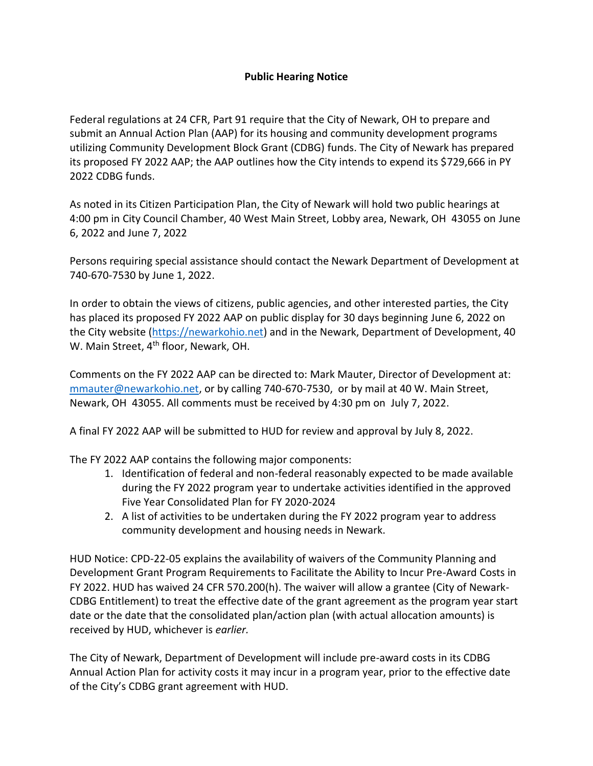## **Public Hearing Notice**

Federal regulations at 24 CFR, Part 91 require that the City of Newark, OH to prepare and submit an Annual Action Plan (AAP) for its housing and community development programs utilizing Community Development Block Grant (CDBG) funds. The City of Newark has prepared its proposed FY 2022 AAP; the AAP outlines how the City intends to expend its \$729,666 in PY 2022 CDBG funds.

As noted in its Citizen Participation Plan, the City of Newark will hold two public hearings at 4:00 pm in City Council Chamber, 40 West Main Street, Lobby area, Newark, OH 43055 on June 6, 2022 and June 7, 2022

Persons requiring special assistance should contact the Newark Department of Development at 740-670-7530 by June 1, 2022.

In order to obtain the views of citizens, public agencies, and other interested parties, the City has placed its proposed FY 2022 AAP on public display for 30 days beginning June 6, 2022 on the City website [\(https://newarkohio.net\)](https://newarkohio.net/) and in the Newark, Department of Development, 40 W. Main Street, 4<sup>th</sup> floor, Newark, OH.

Comments on the FY 2022 AAP can be directed to: Mark Mauter, Director of Development at: [mmauter@newarkohio.net,](mailto:mmauter@newarkohio.net) or by calling 740-670-7530, or by mail at 40 W. Main Street, Newark, OH 43055. All comments must be received by 4:30 pm on July 7, 2022.

A final FY 2022 AAP will be submitted to HUD for review and approval by July 8, 2022.

The FY 2022 AAP contains the following major components:

- 1. Identification of federal and non-federal reasonably expected to be made available during the FY 2022 program year to undertake activities identified in the approved Five Year Consolidated Plan for FY 2020-2024
- 2. A list of activities to be undertaken during the FY 2022 program year to address community development and housing needs in Newark.

HUD Notice: CPD-22-05 explains the availability of waivers of the Community Planning and Development Grant Program Requirements to Facilitate the Ability to Incur Pre-Award Costs in FY 2022. HUD has waived 24 CFR 570.200(h). The waiver will allow a grantee (City of Newark-CDBG Entitlement) to treat the effective date of the grant agreement as the program year start date or the date that the consolidated plan/action plan (with actual allocation amounts) is received by HUD, whichever is *earlier.*

The City of Newark, Department of Development will include pre-award costs in its CDBG Annual Action Plan for activity costs it may incur in a program year, prior to the effective date of the City's CDBG grant agreement with HUD.